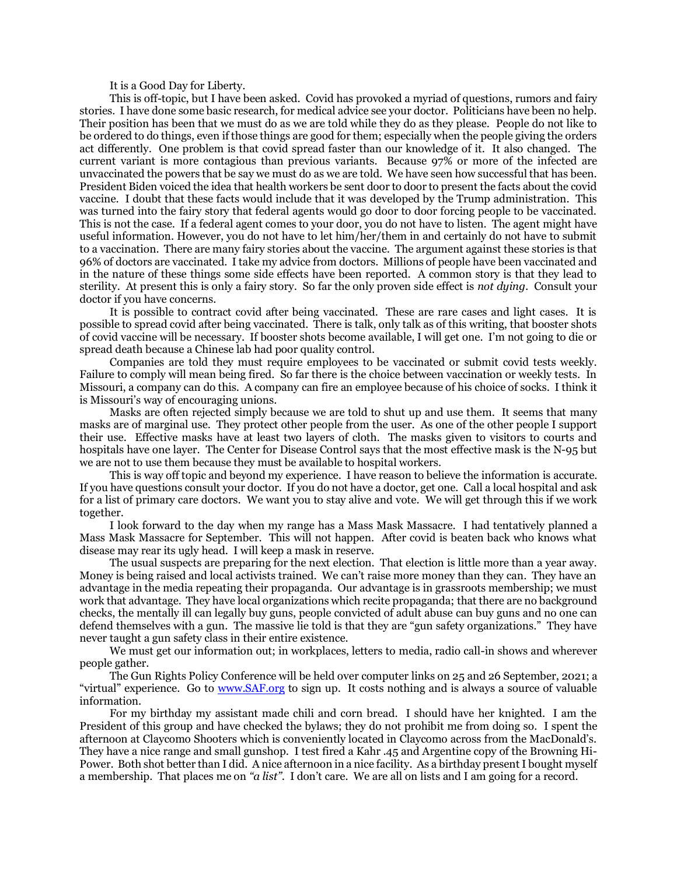It is a Good Day for Liberty.

This is off-topic, but I have been asked. Covid has provoked a myriad of questions, rumors and fairy stories. I have done some basic research, for medical advice see your doctor. Politicians have been no help. Their position has been that we must do as we are told while they do as they please. People do not like to be ordered to do things, even if those things are good for them; especially when the people giving the orders act differently. One problem is that covid spread faster than our knowledge of it. It also changed. The current variant is more contagious than previous variants. Because 97% or more of the infected are unvaccinated the powers that be say we must do as we are told. We have seen how successful that has been. President Biden voiced the idea that health workers be sent door to door to present the facts about the covid vaccine. I doubt that these facts would include that it was developed by the Trump administration. This was turned into the fairy story that federal agents would go door to door forcing people to be vaccinated. This is not the case. If a federal agent comes to your door, you do not have to listen. The agent might have useful information. However, you do not have to let him/her/them in and certainly do not have to submit to a vaccination. There are many fairy stories about the vaccine. The argument against these stories is that 96% of doctors are vaccinated. I take my advice from doctors. Millions of people have been vaccinated and in the nature of these things some side effects have been reported. A common story is that they lead to sterility. At present this is only a fairy story. So far the only proven side effect is *not dying.* Consult your doctor if you have concerns.

It is possible to contract covid after being vaccinated. These are rare cases and light cases. It is possible to spread covid after being vaccinated. There is talk, only talk as of this writing, that booster shots of covid vaccine will be necessary. If booster shots become available, I will get one. I'm not going to die or spread death because a Chinese lab had poor quality control.

Companies are told they must require employees to be vaccinated or submit covid tests weekly. Failure to comply will mean being fired. So far there is the choice between vaccination or weekly tests. In Missouri, a company can do this. A company can fire an employee because of his choice of socks. I think it is Missouri's way of encouraging unions.

Masks are often rejected simply because we are told to shut up and use them. It seems that many masks are of marginal use. They protect other people from the user. As one of the other people I support their use. Effective masks have at least two layers of cloth. The masks given to visitors to courts and hospitals have one layer. The Center for Disease Control says that the most effective mask is the N-95 but we are not to use them because they must be available to hospital workers.

This is way off topic and beyond my experience. I have reason to believe the information is accurate. If you have questions consult your doctor. If you do not have a doctor, get one. Call a local hospital and ask for a list of primary care doctors. We want you to stay alive and vote. We will get through this if we work together.

I look forward to the day when my range has a Mass Mask Massacre. I had tentatively planned a Mass Mask Massacre for September. This will not happen. After covid is beaten back who knows what disease may rear its ugly head. I will keep a mask in reserve.

The usual suspects are preparing for the next election. That election is little more than a year away. Money is being raised and local activists trained. We can't raise more money than they can. They have an advantage in the media repeating their propaganda. Our advantage is in grassroots membership; we must work that advantage. They have local organizations which recite propaganda; that there are no background checks, the mentally ill can legally buy guns, people convicted of adult abuse can buy guns and no one can defend themselves with a gun. The massive lie told is that they are "gun safety organizations." They have never taught a gun safety class in their entire existence.

We must get our information out; in workplaces, letters to media, radio call-in shows and wherever people gather.

The Gun Rights Policy Conference will be held over computer links on 25 and 26 September, 2021; a "virtual" experience. Go to [www.SAF.org](http://www.saf.org/) to sign up. It costs nothing and is always a source of valuable information.

For my birthday my assistant made chili and corn bread. I should have her knighted. I am the President of this group and have checked the bylaws; they do not prohibit me from doing so. I spent the afternoon at Claycomo Shooters which is conveniently located in Claycomo across from the MacDonald's. They have a nice range and small gunshop. I test fired a Kahr .45 and Argentine copy of the Browning Hi-Power. Both shot better than I did. A nice afternoon in a nice facility. As a birthday present I bought myself a membership. That places me on *"a list"*. I don't care. We are all on lists and I am going for a record.